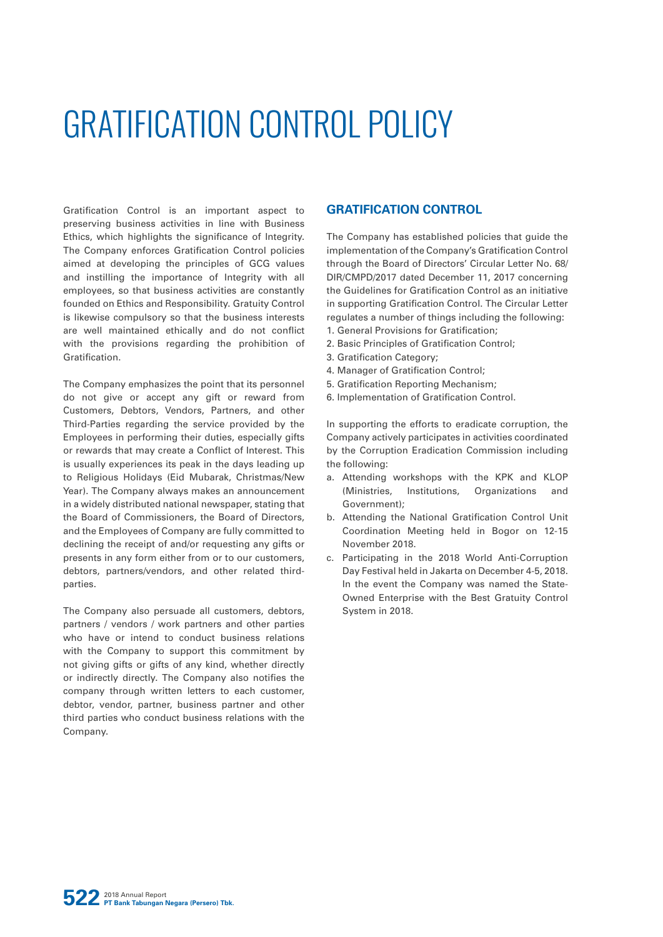# GRATIFICATION CONTROL POLICY

Gratification Control is an important aspect to preserving business activities in line with Business Ethics, which highlights the significance of Integrity. The Company enforces Gratification Control policies aimed at developing the principles of GCG values and instilling the importance of Integrity with all employees, so that business activities are constantly founded on Ethics and Responsibility. Gratuity Control is likewise compulsory so that the business interests are well maintained ethically and do not conflict with the provisions regarding the prohibition of Gratification.

The Company emphasizes the point that its personnel do not give or accept any gift or reward from Customers, Debtors, Vendors, Partners, and other Third-Parties regarding the service provided by the Employees in performing their duties, especially gifts or rewards that may create a Conflict of Interest. This is usually experiences its peak in the days leading up to Religious Holidays (Eid Mubarak, Christmas/New Year). The Company always makes an announcement in a widely distributed national newspaper, stating that the Board of Commissioners, the Board of Directors, and the Employees of Company are fully committed to declining the receipt of and/or requesting any gifts or presents in any form either from or to our customers, debtors, partners/vendors, and other related thirdparties.

The Company also persuade all customers, debtors, partners / vendors / work partners and other parties who have or intend to conduct business relations with the Company to support this commitment by not giving gifts or gifts of any kind, whether directly or indirectly directly. The Company also notifies the company through written letters to each customer, debtor, vendor, partner, business partner and other third parties who conduct business relations with the Company.

### **GRATIFICATION CONTROL**

The Company has established policies that guide the implementation of the Company's Gratification Control through the Board of Directors' Circular Letter No. 68/ DIR/CMPD/2017 dated December 11, 2017 concerning the Guidelines for Gratification Control as an initiative in supporting Gratification Control. The Circular Letter regulates a number of things including the following:

- 1. General Provisions for Gratification;
- 2. Basic Principles of Gratification Control;
- 3. Gratification Category;
- 4. Manager of Gratification Control;
- 5. Gratification Reporting Mechanism;
- 6. Implementation of Gratification Control.

In supporting the efforts to eradicate corruption, the Company actively participates in activities coordinated by the Corruption Eradication Commission including the following:

- a. Attending workshops with the KPK and KLOP (Ministries, Institutions, Organizations and Government);
- b. Attending the National Gratification Control Unit Coordination Meeting held in Bogor on 12-15 November 2018.
- c. Participating in the 2018 World Anti-Corruption Day Festival held in Jakarta on December 4-5, 2018. In the event the Company was named the State-Owned Enterprise with the Best Gratuity Control System in 2018.

**522** 2018 Annual Report **PT Bank Tabungan Negara (Persero) Tbk.**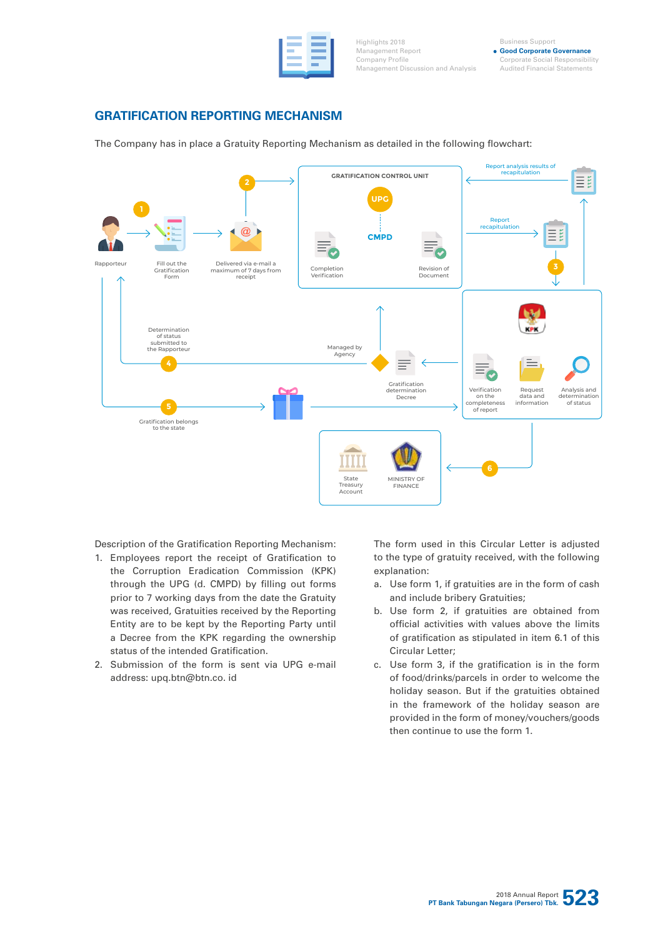Highlights 2018 Management Report Company Profile Management Discussion and Analysis

Business Support **Good Corporate Governance** Corporate Social Responsibility Audited Financial Statements

# **GRATIFICATION REPORTING MECHANISM**

The Company has in place a Gratuity Reporting Mechanism as detailed in the following flowchart:



Description of the Gratification Reporting Mechanism:

- 1. Employees report the receipt of Gratification to the Corruption Eradication Commission (KPK) through the UPG (d. CMPD) by filling out forms prior to 7 working days from the date the Gratuity was received, Gratuities received by the Reporting Entity are to be kept by the Reporting Party until a Decree from the KPK regarding the ownership status of the intended Gratification.
- 2. Submission of the form is sent via UPG e-mail address: upq.btn@btn.co. id

The form used in this Circular Letter is adjusted to the type of gratuity received, with the following explanation:

- a. Use form 1, if gratuities are in the form of cash and include bribery Gratuities;
- b. Use form 2, if gratuities are obtained from official activities with values above the limits of gratification as stipulated in item 6.1 of this Circular Letter;
- c. Use form 3, if the gratification is in the form of food/drinks/parcels in order to welcome the holiday season. But if the gratuities obtained in the framework of the holiday season are provided in the form of money/vouchers/goods then continue to use the form 1.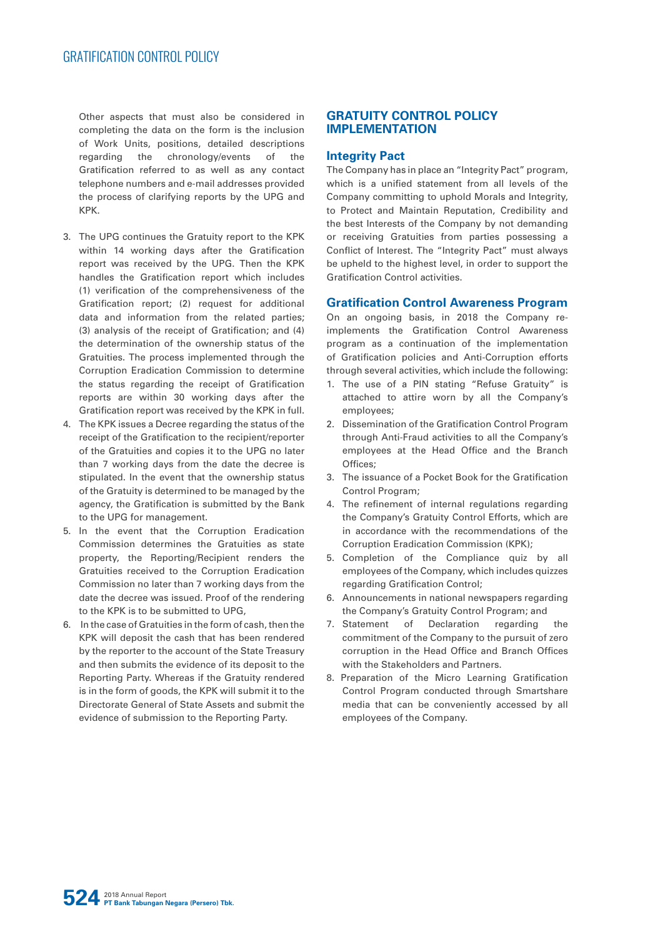Other aspects that must also be considered in completing the data on the form is the inclusion of Work Units, positions, detailed descriptions regarding the chronology/events of the Gratification referred to as well as any contact telephone numbers and e-mail addresses provided the process of clarifying reports by the UPG and KPK.

- 3. The UPG continues the Gratuity report to the KPK within 14 working days after the Gratification report was received by the UPG. Then the KPK handles the Gratification report which includes (1) verification of the comprehensiveness of the Gratification report; (2) request for additional data and information from the related parties; (3) analysis of the receipt of Gratification; and (4) the determination of the ownership status of the Gratuities. The process implemented through the Corruption Eradication Commission to determine the status regarding the receipt of Gratification reports are within 30 working days after the Gratification report was received by the KPK in full.
- 4. The KPK issues a Decree regarding the status of the receipt of the Gratification to the recipient/reporter of the Gratuities and copies it to the UPG no later than 7 working days from the date the decree is stipulated. In the event that the ownership status of the Gratuity is determined to be managed by the agency, the Gratification is submitted by the Bank to the UPG for management.
- 5. In the event that the Corruption Eradication Commission determines the Gratuities as state property, the Reporting/Recipient renders the Gratuities received to the Corruption Eradication Commission no later than 7 working days from the date the decree was issued. Proof of the rendering to the KPK is to be submitted to UPG,
- 6. In the case of Gratuities in the form of cash, then the KPK will deposit the cash that has been rendered by the reporter to the account of the State Treasury and then submits the evidence of its deposit to the Reporting Party. Whereas if the Gratuity rendered is in the form of goods, the KPK will submit it to the Directorate General of State Assets and submit the evidence of submission to the Reporting Party.

# **GRATUITY CONTROL POLICY IMPLEMENTATION**

#### **Integrity Pact**

The Company has in place an "Integrity Pact" program, which is a unified statement from all levels of the Company committing to uphold Morals and Integrity, to Protect and Maintain Reputation, Credibility and the best Interests of the Company by not demanding or receiving Gratuities from parties possessing a Conflict of Interest. The "Integrity Pact" must always be upheld to the highest level, in order to support the Gratification Control activities.

#### **Gratification Control Awareness Program**

On an ongoing basis, in 2018 the Company reimplements the Gratification Control Awareness program as a continuation of the implementation of Gratification policies and Anti-Corruption efforts through several activities, which include the following:

- 1. The use of a PIN stating "Refuse Gratuity" is attached to attire worn by all the Company's employees;
- 2. Dissemination of the Gratification Control Program through Anti-Fraud activities to all the Company's employees at the Head Office and the Branch Offices;
- 3. The issuance of a Pocket Book for the Gratification Control Program;
- 4. The refinement of internal regulations regarding the Company's Gratuity Control Efforts, which are in accordance with the recommendations of the Corruption Eradication Commission (KPK);
- 5. Completion of the Compliance quiz by all employees of the Company, which includes quizzes regarding Gratification Control;
- 6. Announcements in national newspapers regarding the Company's Gratuity Control Program; and
- 7. Statement of Declaration regarding the commitment of the Company to the pursuit of zero corruption in the Head Office and Branch Offices with the Stakeholders and Partners.
- 8. Preparation of the Micro Learning Gratification Control Program conducted through Smartshare media that can be conveniently accessed by all employees of the Company.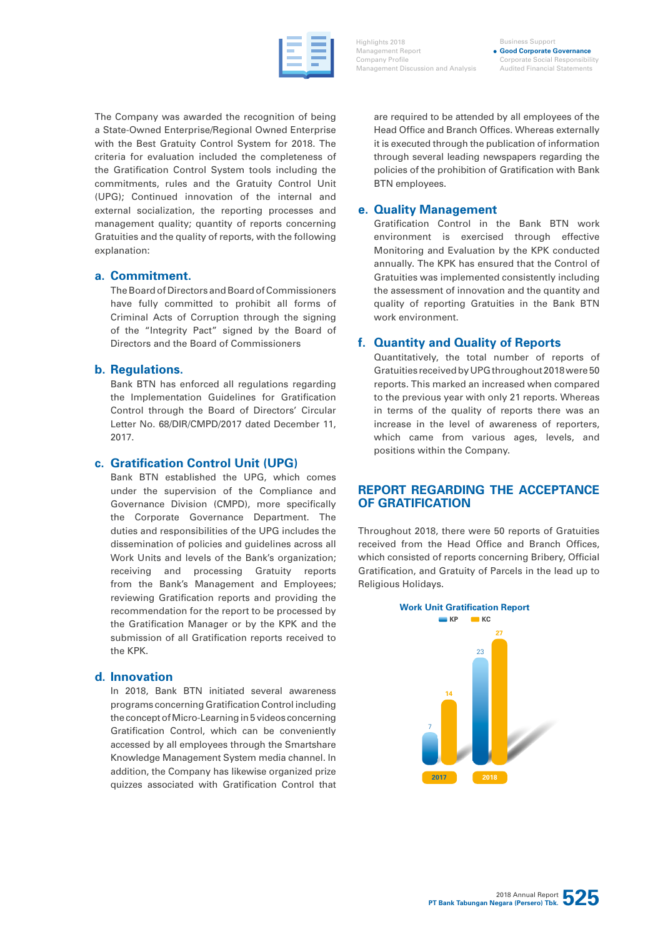Highlights 2018 Management Report Company Profile Management Discussion and Analysis

Business Support **Good Corporate Governance** Corporate Social Responsibility Audited Financial Statements

The Company was awarded the recognition of being a State-Owned Enterprise/Regional Owned Enterprise with the Best Gratuity Control System for 2018. The criteria for evaluation included the completeness of the Gratification Control System tools including the commitments, rules and the Gratuity Control Unit (UPG); Continued innovation of the internal and external socialization, the reporting processes and management quality; quantity of reports concerning Gratuities and the quality of reports, with the following explanation:

# **a. Commitment.**

The Board of Directors and Board of Commissioners have fully committed to prohibit all forms of Criminal Acts of Corruption through the signing of the "Integrity Pact" signed by the Board of Directors and the Board of Commissioners

# **b. Regulations.**

Bank BTN has enforced all regulations regarding the Implementation Guidelines for Gratification Control through the Board of Directors' Circular Letter No. 68/DIR/CMPD/2017 dated December 11, 2017.

# **c. Gratification Control Unit (UPG)**

Bank BTN established the UPG, which comes under the supervision of the Compliance and Governance Division (CMPD), more specifically the Corporate Governance Department. The duties and responsibilities of the UPG includes the dissemination of policies and guidelines across all Work Units and levels of the Bank's organization: receiving and processing Gratuity reports from the Bank's Management and Employees; reviewing Gratification reports and providing the recommendation for the report to be processed by the Gratification Manager or by the KPK and the submission of all Gratification reports received to the KPK.

#### **d. Innovation**

In 2018, Bank BTN initiated several awareness programs concerning Gratification Control including the concept of Micro-Learning in 5 videos concerning Gratification Control, which can be conveniently accessed by all employees through the Smartshare Knowledge Management System media channel. In addition, the Company has likewise organized prize quizzes associated with Gratification Control that are required to be attended by all employees of the Head Office and Branch Offices. Whereas externally it is executed through the publication of information through several leading newspapers regarding the policies of the prohibition of Gratification with Bank BTN employees.

# **e. Quality Management**

Gratification Control in the Bank BTN work environment is exercised through effective Monitoring and Evaluation by the KPK conducted annually. The KPK has ensured that the Control of Gratuities was implemented consistently including the assessment of innovation and the quantity and quality of reporting Gratuities in the Bank BTN work environment.

# **f. Quantity and Quality of Reports**

Quantitatively, the total number of reports of Gratuities received by UPG throughout 2018 were 50 reports. This marked an increased when compared to the previous year with only 21 reports. Whereas in terms of the quality of reports there was an increase in the level of awareness of reporters, which came from various ages, levels, and positions within the Company.

# **REPORT REGARDING THE ACCEPTANCE OF GRATIFICATION**

Throughout 2018, there were 50 reports of Gratuities received from the Head Office and Branch Offices, which consisted of reports concerning Bribery, Official Gratification, and Gratuity of Parcels in the lead up to Religious Holidays.